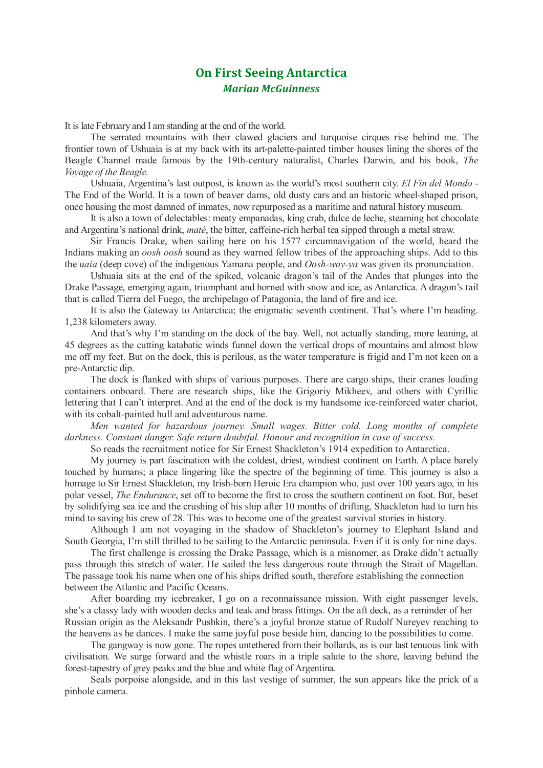## **On First Seeing Antarctica** *Marian McGuinness*

It is late February and I am standing at the end of the world.

 The serrated mountains with their clawed glaciers and turquoise cirques rise behind me. The frontier town of Ushuaia is at my back with its art-palette-painted timber houses lining the shores of the Beagle Channel made famous by the 19th-century naturalist, Charles Darwin, and his book, *The Voyage of the Beagle.*

Ushuaia, Argentina's last outpost, is known as the world's most southern city. *El Fin del Mondo* - The End of the World. It is a town of beaver dams, old dusty cars and an historic wheel-shaped prison, once housing the most damned of inmates, now repurposed as a maritime and natural history museum.

It is also a town of delectables: meaty empanadas, king crab, dulce de leche, steaming hot chocolate and Argentina's national drink, *maté*, the bitter, caffeine-rich herbal tea sipped through a metal straw.

Sir Francis Drake, when sailing here on his 1577 circumnavigation of the world, heard the Indians making an *oosh oosh* sound as they warned fellow tribes of the approaching ships. Add to this the *uaia* (deep cove) of the indigenous Yamana people, and *Oosh-way-ya* was given its pronunciation.

Ushuaia sits at the end of the spiked, volcanic dragon's tail of the Andes that plunges into the Drake Passage, emerging again, triumphant and horned with snow and ice, as Antarctica. A dragon's tail that is called Tierra del Fuego, the archipelago of Patagonia, the land of fire and ice.

It is also the Gateway to Antarctica; the enigmatic seventh continent. That's where I'm heading. 1,238 kilometers away.

And that's why I'm standing on the dock of the bay. Well, not actually standing, more leaning, at 45 degrees as the cutting katabatic winds funnel down the vertical drops of mountains and almost blow me off my feet. But on the dock, this is perilous, as the water temperature is frigid and I'm not keen on a pre-Antarctic dip.

The dock is flanked with ships of various purposes. There are cargo ships, their cranes loading containers onboard. There are research ships, like the Grigoriy Mikheev, and others with Cyrillic lettering that I can't interpret. And at the end of the dock is my handsome ice-reinforced water chariot, with its cobalt-painted hull and adventurous name.

*Men wanted for hazardous journey. Small wages. Bitter cold. Long months of complete darkness. Constant danger. Safe return doubtful. Honour and recognition in case of success.*

So reads the recruitment notice for Sir Ernest Shackleton's 1914 expedition to Antarctica.

My journey is part fascination with the coldest, driest, windiest continent on Earth. A place barely touched by humans; a place lingering like the spectre of the beginning of time. This journey is also a homage to Sir Ernest Shackleton, my Irish-born Heroic Era champion who, just over 100 years ago, in his polar vessel, *The Endurance*, set off to become the first to cross the southern continent on foot. But, beset by solidifying sea ice and the crushing of his ship after 10 months of drifting, Shackleton had to turn his mind to saving his crew of 28. This was to become one of the greatest survival stories in history.

Although I am not voyaging in the shadow of Shackleton's journey to Elephant Island and South Georgia, I'm still thrilled to be sailing to the Antarctic peninsula. Even if it is only for nine days.

The first challenge is crossing the Drake Passage, which is a misnomer, as Drake didn't actually pass through this stretch of water. He sailed the less dangerous route through the Strait of Magellan. The passage took his name when one of his ships drifted south, therefore establishing the connection between the Atlantic and Pacific Oceans.

After boarding my icebreaker, I go on a reconnaissance mission. With eight passenger levels, she's a classy lady with wooden decks and teak and brass fittings. On the aft deck, as a reminder of her Russian origin as the Aleksandr Pushkin, there's a joyful bronze statue of Rudolf Nureyev reaching to the heavens as he dances. I make the same joyful pose beside him, dancing to the possibilities to come.

The gangway is now gone. The ropes untethered from their bollards, as is our last tenuous link with civilisation. We surge forward and the whistle roars in a triple salute to the shore, leaving behind the forest-tapestry of grey peaks and the blue and white flag of Argentina.

Seals porpoise alongside, and in this last vestige of summer, the sun appears like the prick of a pinhole camera.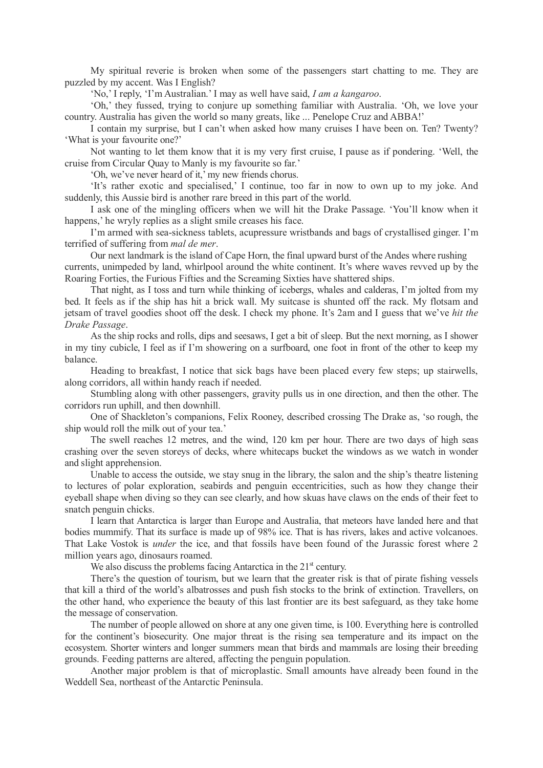My spiritual reverie is broken when some of the passengers start chatting to me. They are puzzled by my accent. Was I English?

'No,' I reply, 'I'm Australian.' I may as well have said, *I am a kangaroo*.

'Oh,' they fussed, trying to conjure up something familiar with Australia. 'Oh, we love your country. Australia has given the world so many greats, like ... Penelope Cruz and ABBA!'

I contain my surprise, but I can't when asked how many cruises I have been on. Ten? Twenty? 'What is your favourite one?'

Not wanting to let them know that it is my very first cruise, I pause as if pondering. 'Well, the cruise from Circular Quay to Manly is my favourite so far.'

'Oh, we've never heard of it,' my new friends chorus.

'It's rather exotic and specialised,' I continue, too far in now to own up to my joke. And suddenly, this Aussie bird is another rare breed in this part of the world.

I ask one of the mingling officers when we will hit the Drake Passage. 'You'll know when it happens,' he wryly replies as a slight smile creases his face.

I'm armed with sea-sickness tablets, acupressure wristbands and bags of crystallised ginger. I'm terrified of suffering from *mal de mer*.

Our next landmark is the island of Cape Horn, the final upward burst of the Andes where rushing currents, unimpeded by land, whirlpool around the white continent. It's where waves revved up by the

Roaring Forties, the Furious Fifties and the Screaming Sixties have shattered ships.

That night, as I toss and turn while thinking of icebergs, whales and calderas, I'm jolted from my bed. It feels as if the ship has hit a brick wall. My suitcase is shunted off the rack. My flotsam and jetsam of travel goodies shoot off the desk. I check my phone. It's 2am and I guess that we've *hit the Drake Passage*.

As the ship rocks and rolls, dips and seesaws, I get a bit of sleep. But the next morning, as I shower in my tiny cubicle, I feel as if I'm showering on a surfboard, one foot in front of the other to keep my balance.

Heading to breakfast, I notice that sick bags have been placed every few steps; up stairwells, along corridors, all within handy reach if needed.

Stumbling along with other passengers, gravity pulls us in one direction, and then the other. The corridors run uphill, and then downhill.

One of Shackleton's companions, Felix Rooney, described crossing The Drake as, 'so rough, the ship would roll the milk out of your tea.'

The swell reaches 12 metres, and the wind, 120 km per hour. There are two days of high seas crashing over the seven storeys of decks, where whitecaps bucket the windows as we watch in wonder and slight apprehension.

Unable to access the outside, we stay snug in the library, the salon and the ship's theatre listening to lectures of polar exploration, seabirds and penguin eccentricities, such as how they change their eyeball shape when diving so they can see clearly, and how skuas have claws on the ends of their feet to snatch penguin chicks.

I learn that Antarctica is larger than Europe and Australia, that meteors have landed here and that bodies mummify. That its surface is made up of 98% ice. That is has rivers, lakes and active volcanoes. That Lake Vostok is *under* the ice, and that fossils have been found of the Jurassic forest where 2 million years ago, dinosaurs roamed.

We also discuss the problems facing Antarctica in the  $21<sup>st</sup>$  century.

There's the question of tourism, but we learn that the greater risk is that of pirate fishing vessels that kill a third of the world's albatrosses and push fish stocks to the brink of extinction. Travellers, on the other hand, who experience the beauty of this last frontier are its best safeguard, as they take home the message of conservation.

The number of people allowed on shore at any one given time, is 100. Everything here is controlled for the continent's biosecurity. One major threat is the rising sea temperature and its impact on the ecosystem. Shorter winters and longer summers mean that birds and mammals are losing their breeding grounds. Feeding patterns are altered, affecting the penguin population.

Another major problem is that of microplastic. Small amounts have already been found in the Weddell Sea, northeast of the Antarctic Peninsula.